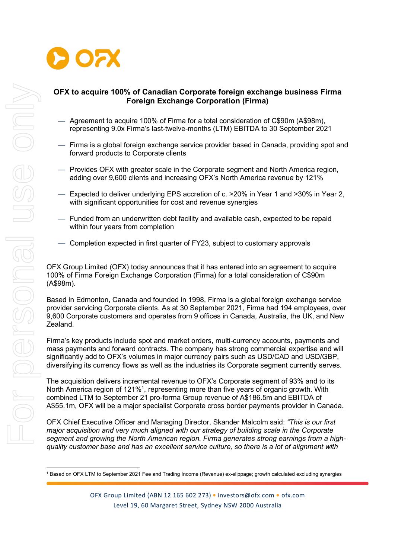

# OFX to acquire 100% of Canadian Corporate foreign exchange business Firma Foreign Exchange Corporation (Firma)

- Agreement to acquire 100% of Firma for a total consideration of C\$90m (A\$98m), representing 9.0x Firma's last-twelve-months (LTM) EBITDA to 30 September 2021
- Firma is a global foreign exchange service provider based in Canada, providing spot and forward products to Corporate clients
- Provides OFX with greater scale in the Corporate segment and North America region, adding over 9,600 clients and increasing OFX's North America revenue by 121%
- Expected to deliver underlying EPS accretion of c. >20% in Year 1 and >30% in Year 2, with significant opportunities for cost and revenue synergies
- Funded from an underwritten debt facility and available cash, expected to be repaid within four years from completion
- Completion expected in first quarter of FY23, subject to customary approvals

OFX Group Limited (OFX) today announces that it has entered into an agreement to acquire 100% of Firma Foreign Exchange Corporation (Firma) for a total consideration of C\$90m (A\$98m).

Based in Edmonton, Canada and founded in 1998, Firma is a global foreign exchange service provider servicing Corporate clients. As at 30 September 2021, Firma had 194 employees, over 9,600 Corporate customers and operates from 9 offices in Canada, Australia, the UK, and New Zealand.

Firma's key products include spot and market orders, multi-currency accounts, payments and mass payments and forward contracts. The company has strong commercial expertise and will significantly add to OFX's volumes in major currency pairs such as USD/CAD and USD/GBP, diversifying its currency flows as well as the industries its Corporate segment currently serves.

The acquisition delivers incremental revenue to OFX's Corporate segment of 93% and to its North America region of 121%<sup>1</sup>, representing more than five years of organic growth. With combined LTM to September 21 pro-forma Group revenue of A\$186.5m and EBITDA of A\$55.1m, OFX will be a major specialist Corporate cross border payments provider in Canada.

OFX Chief Executive Officer and Managing Director, Skander Malcolm said: "This is our first major acquisition and very much aligned with our strategy of building scale in the Corporate segment and growing the North American region. Firma generates strong earnings from a highquality customer base and has an excellent service culture, so there is a lot of alignment with

<sup>1</sup> Based on OFX LTM to September 2021 Fee and Trading Income (Revenue) ex-slippage; growth calculated excluding synergies